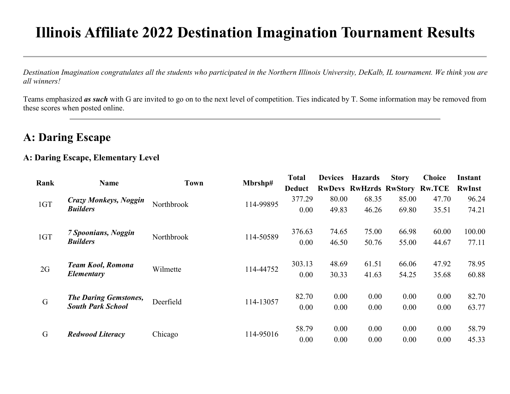# Illinois Affiliate 2022 Destination Imagination Tournament Results

Destination Imagination congratulates all the students who participated in the Northern Illinois University, DeKalb, IL tournament. We think you are all winners!

Teams emphasized as such with G are invited to go on to the next level of competition. Ties indicated by T. Some information may be removed from these scores when posted online.

### A: Daring Escape

#### A: Daring Escape, Elementary Level

| Rank |                              | <b>Town</b> | Mbrshp#   | <b>Total</b>  | <b>Devices</b> | <b>Hazards</b>                       | <b>Story</b> | <b>Choice</b> | Instant       |
|------|------------------------------|-------------|-----------|---------------|----------------|--------------------------------------|--------------|---------------|---------------|
|      | Name                         |             |           | <b>Deduct</b> |                | <b>RwDevs RwHzrds RwStory Rw.TCE</b> |              |               | <b>RwInst</b> |
|      | <b>Crazy Monkeys, Noggin</b> |             |           | 377.29        | 80.00          | 68.35                                | 85.00        | 47.70         | 96.24         |
| 1GT  | <b>Builders</b>              | Northbrook  | 114-99895 | 0.00          | 49.83          | 46.26                                | 69.80        | 35.51         | 74.21         |
|      | 7 Spoonians, Noggin          |             |           | 376.63        | 74.65          | 75.00                                | 66.98        | 60.00         | 100.00        |
| 1GT  | <b>Builders</b>              | Northbrook  | 114-50589 | 0.00          | 46.50          | 50.76                                | 55.00        | 44.67         | 77.11         |
| 2G   | <b>Team Kool, Romona</b>     | Wilmette    | 114-44752 | 303.13        | 48.69          | 61.51                                | 66.06        | 47.92         | 78.95         |
|      | Elementary                   |             |           | 0.00          | 30.33          | 41.63                                | 54.25        | 35.68         | 60.88         |
| G    | <b>The Daring Gemstones,</b> | Deerfield   | 114-13057 | 82.70         | 0.00           | 0.00                                 | 0.00         | 0.00          | 82.70         |
|      | <b>South Park School</b>     |             |           | 0.00          | 0.00           | 0.00                                 | 0.00         | 0.00          | 63.77         |
| G    |                              |             | 114-95016 | 58.79         | 0.00           | 0.00                                 | 0.00         | 0.00          | 58.79         |
|      | <b>Redwood Literacy</b>      | Chicago     |           | 0.00          | 0.00           | 0.00                                 | 0.00         | 0.00          | 45.33         |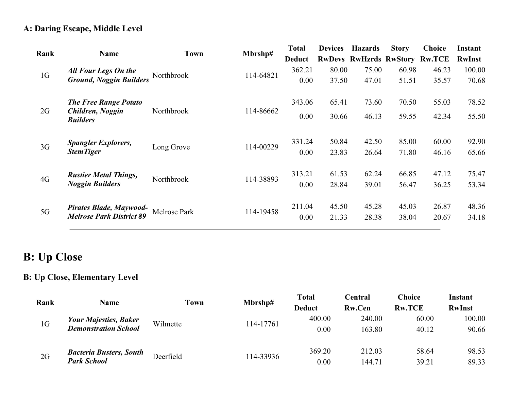#### A: Daring Escape, Middle Level

| Rank           | <b>Name</b>                         | Mbrshp#<br><b>Town</b> | <b>Total</b> | <b>Devices</b> | <b>Hazards</b> | <b>Story</b>                         | <b>Choice</b> | Instant |               |
|----------------|-------------------------------------|------------------------|--------------|----------------|----------------|--------------------------------------|---------------|---------|---------------|
|                |                                     |                        |              | <b>Deduct</b>  |                | <b>RwDevs RwHzrds RwStory Rw.TCE</b> |               |         | <b>RwInst</b> |
| 1 <sub>G</sub> | <b>All Four Legs On the</b>         | Northbrook             | 114-64821    | 362.21         | 80.00          | 75.00                                | 60.98         | 46.23   | 100.00        |
|                | <b>Ground, Noggin Builders</b>      |                        |              | 0.00           | 37.50          | 47.01                                | 51.51         | 35.57   | 70.68         |
|                | <b>The Free Range Potato</b>        |                        |              | 343.06         | 65.41          | 73.60                                | 70.50         | 55.03   | 78.52         |
| 2G             | Children, Noggin<br><b>Builders</b> | Northbrook             | 114-86662    | 0.00           | 30.66          | 46.13                                | 59.55         | 42.34   | 55.50         |
| 3G             | <b>Spangler Explorers,</b>          | Long Grove             | 114-00229    | 331.24         | 50.84          | 42.50                                | 85.00         | 60.00   | 92.90         |
|                | <b>StemTiger</b>                    |                        |              | 0.00           | 23.83          | 26.64                                | 71.80         | 46.16   | 65.66         |
| 4G             | <b>Rustier Metal Things,</b>        | Northbrook             | 114-38893    | 313.21         | 61.53          | 62.24                                | 66.85         | 47.12   | 75.47         |
|                | <b>Noggin Builders</b>              |                        |              | 0.00           | 28.84          | 39.01                                | 56.47         | 36.25   | 53.34         |
| 5G             | Pirates Blade, Maywood-             | Melrose Park           | 114-19458    | 211.04         | 45.50          | 45.28                                | 45.03         | 26.87   | 48.36         |
|                | <b>Melrose Park District 89</b>     |                        |              | 0.00           | 21.33          | 28.38                                | 38.04         | 20.67   | 34.18         |

### B: Up Close

#### B: Up Close, Elementary Level

| Rank           |                                | Town      |           | <b>Total</b>  | Central       | Choice        | Instant       |
|----------------|--------------------------------|-----------|-----------|---------------|---------------|---------------|---------------|
|                | Name                           |           | Mbrshp#   | <b>Deduct</b> | <b>Rw.Cen</b> | <b>Rw.TCE</b> | <b>RwInst</b> |
|                | <b>Your Majesties, Baker</b>   |           |           | 400.00        | 240.00        | 60.00         | 100.00        |
| 1 <sub>G</sub> | <b>Demonstration School</b>    | Wilmette  | 114-17761 | 0.00          | 163.80        | 40.12         | 90.66         |
|                | <b>Bacteria Busters, South</b> | Deerfield |           | 369.20        | 212.03        | 58.64         | 98.53         |
| 2G             | <b>Park School</b>             |           | 114-33936 | 0.00          | 144.71        | 39.21         | 89.33         |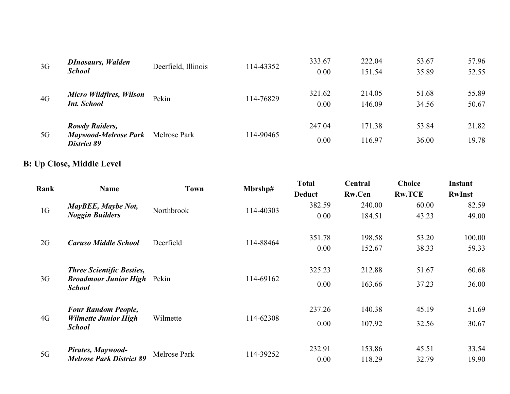| 3G | <b>DInosaurs, Walden</b><br><b>School</b>                           | Deerfield, Illinois | 114-43352 | 333.67<br>0.00 | 222.04<br>151.54 | 53.67<br>35.89 | 57.96<br>52.55 |
|----|---------------------------------------------------------------------|---------------------|-----------|----------------|------------------|----------------|----------------|
| 4G | <b>Micro Wildfires, Wilson</b><br><b>Int. School</b>                | Pekin               | 114-76829 | 321.62<br>0.00 | 214.05<br>146.09 | 51.68<br>34.56 | 55.89<br>50.67 |
| 5G | <b>Rowdy Raiders,</b><br><b>Maywood-Melrose Park</b><br>District 89 | Melrose Park        | 114-90465 | 247.04<br>0.00 | 171.38<br>116.97 | 53.84<br>36.00 | 21.82<br>19.78 |

### B: Up Close, Middle Level

| Rank           | <b>Name</b>                                         | <b>Town</b>  | Mbrshp#   | <b>Total</b><br><b>Deduct</b> | Central<br><b>Rw.Cen</b> | <b>Choice</b><br><b>Rw.TCE</b> | Instant<br><b>RwInst</b> |
|----------------|-----------------------------------------------------|--------------|-----------|-------------------------------|--------------------------|--------------------------------|--------------------------|
|                | MayBEE, Maybe Not,                                  | Northbrook   |           | 382.59                        | 240.00                   | 60.00                          | 82.59                    |
| 1 <sub>G</sub> | <b>Noggin Builders</b>                              |              | 114-40303 | 0.00                          | 184.51                   | 43.23                          | 49.00                    |
|                |                                                     | Deerfield    | 114-88464 | 351.78                        | 198.58                   | 53.20                          | 100.00                   |
| 2G             | <b>Caruso Middle School</b>                         |              |           | 0.00                          | 152.67                   | 38.33                          | 59.33                    |
|                | <b>Three Scientific Besties,</b>                    |              |           | 325.23                        | 212.88                   | 51.67                          | 60.68                    |
| 3G             | <b>Broadmoor Junior High</b> Pekin<br><b>School</b> |              | 114-69162 | 0.00                          | 163.66                   | 37.23                          | 36.00                    |
|                | <b>Four Random People,</b>                          |              |           | 237.26                        | 140.38                   | 45.19                          | 51.69                    |
| 4G             | <b>Wilmette Junior High</b><br><b>School</b>        | Wilmette     | 114-62308 | 0.00                          | 107.92                   | 32.56                          | 30.67                    |
|                | Pirates, Maywood-                                   |              |           | 232.91                        | 153.86                   | 45.51                          | 33.54                    |
| 5G             | <b>Melrose Park District 89</b>                     | Melrose Park | 114-39252 | 0.00                          | 118.29                   | 32.79                          | 19.90                    |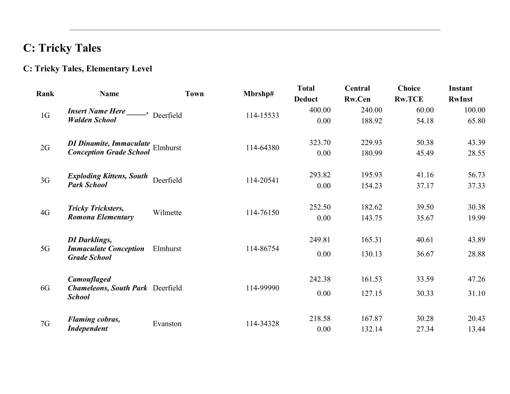## C: Tricky Tales

### C: Tricky Tales, Elementary Level

| Rank           | <b>Name</b>                                              | <b>Town</b> | Mbrshp#   | <b>Total</b>  | Central       | <b>Choice</b> | <b>Instant</b> |
|----------------|----------------------------------------------------------|-------------|-----------|---------------|---------------|---------------|----------------|
|                |                                                          |             |           | <b>Deduct</b> | <b>Rw.Cen</b> | <b>Rw.TCE</b> | <b>RwInst</b>  |
| 1G             | <b>Insert Name Here</b> _____,                           |             |           | 400.00        | 240.00        | 60.00         | 100.00         |
|                | <b>Walden School</b>                                     | Deerfield   | 114-15533 | 0.00          | 188.92        | 54.18         | 65.80          |
| 2G             | DI Dinamite, Immaculate<br>Elmhurst                      |             | 114-64380 | 323.70        | 229.93        | 50.38         | 43.39          |
|                | <b>Conception Grade School</b>                           |             |           | 0.00          | 180.99        | 45.49         | 28.55          |
| 3 <sub>G</sub> | <b>Exploding Kittens, South</b>                          | Deerfield   | 114-20541 | 293.82        | 195.93        | 41.16         | 56.73          |
|                | <b>Park School</b>                                       |             |           | 0.00          | 154.23        | 37.17         | 37.33          |
| 4G             | <b>Tricky Tricksters,</b>                                | Wilmette    | 114-76150 | 252.50        | 182.62        | 39.50         | 30.38          |
|                | Romona Elementary                                        |             |           | 0.00          | 143.75        | 35.67         | 19.99          |
|                | <b>DI</b> Darklings,                                     |             |           | 249.81        | 165.31        | 40.61         | 43.89          |
| 5G             | <b>Immaculate Conception</b><br><b>Grade School</b>      | Elmhurst    | 114-86754 | 0.00          | 130.13        | 36.67         | 28.88          |
|                | <b>Camouflaged</b>                                       |             |           | 242.38        | 161.53        | 33.59         | 47.26          |
| 6G             | <b>Chameleons, South Park Deerfield</b><br><b>School</b> |             | 114-99990 | 0.00          | 127.15        | 30.33         | 31.10          |
| 7G             | <b>Flaming cobras,</b>                                   | Evanston    | 114-34328 | 218.58        | 167.87        | 30.28         | 20.43          |
|                | <b>Independent</b>                                       |             |           | 0.00          | 132.14        | 27.34         | 13.44          |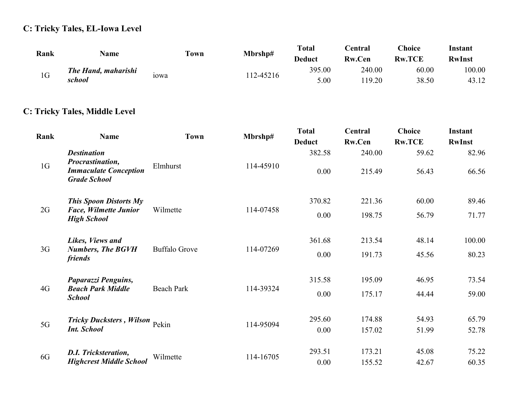#### C: Tricky Tales, EL-Iowa Level

| Rank           | Name                       | Town              | Mbrshp#  | <b>Total</b><br><b>Deduct</b> | <b>Central</b><br><b>Rw.Cen</b> | <b>Choice</b><br><b>Rw.TCE</b> | Instant<br><b>RwInst</b> |
|----------------|----------------------------|-------------------|----------|-------------------------------|---------------------------------|--------------------------------|--------------------------|
| 1 <sub>G</sub> | <b>The Hand, maharishi</b> | 10 <sub>W</sub> a | 12-45216 | 395.00                        | 240.00                          | 60.00                          | 100.00                   |
|                | school                     |                   |          | 5.00                          | 19.20                           | 38.50                          | 43.12                    |

#### C: Tricky Tales, Middle Level

| Rank           | <b>Name</b>                                                             | Town                 | Mbrshp#   | <b>Total</b><br><b>Deduct</b> | Central<br>Rw.Cen | <b>Choice</b><br><b>Rw.TCE</b> | Instant<br><b>RwInst</b> |
|----------------|-------------------------------------------------------------------------|----------------------|-----------|-------------------------------|-------------------|--------------------------------|--------------------------|
|                | <b>Destination</b>                                                      |                      |           | 382.58                        | 240.00            | 59.62                          | 82.96                    |
| 1 <sub>G</sub> | Procrastination,<br><b>Immaculate Conception</b><br><b>Grade School</b> | Elmhurst             | 114-45910 | 0.00                          | 215.49            | 56.43                          | 66.56                    |
|                | <b>This Spoon Distorts My</b>                                           |                      |           | 370.82                        | 221.36            | 60.00                          | 89.46                    |
| 2G             | <b>Face, Wilmette Junior</b><br><b>High School</b>                      | Wilmette             | 114-07458 | 0.00                          | 198.75            | 56.79                          | 71.77                    |
|                | Likes, Views and                                                        |                      |           | 361.68                        | 213.54            | 48.14                          | 100.00                   |
| 3G             | <b>Numbers, The BGVH</b><br>friends                                     | <b>Buffalo Grove</b> | 114-07269 | 0.00                          | 191.73            | 45.56                          | 80.23                    |
|                | Paparazzi Penguins,                                                     |                      |           | 315.58                        | 195.09            | 46.95                          | 73.54                    |
| 4G             | <b>Beach Park Middle</b><br><b>School</b>                               | <b>Beach Park</b>    | 114-39324 | 0.00                          | 175.17            | 44.44                          | 59.00                    |
| 5G             | <b>Tricky Ducksters</b> , Wilson Pekin                                  |                      | 114-95094 | 295.60                        | 174.88            | 54.93                          | 65.79                    |
|                | <b>Int. School</b>                                                      |                      |           | 0.00                          | 157.02            | 51.99                          | 52.78                    |
|                | <b>D.I. Tricksteration,</b>                                             |                      |           | 293.51                        | 173.21            | 45.08                          | 75.22                    |
| 6G             | <b>Highcrest Middle School</b>                                          | Wilmette             | 114-16705 | 0.00                          | 155.52            | 42.67                          | 60.35                    |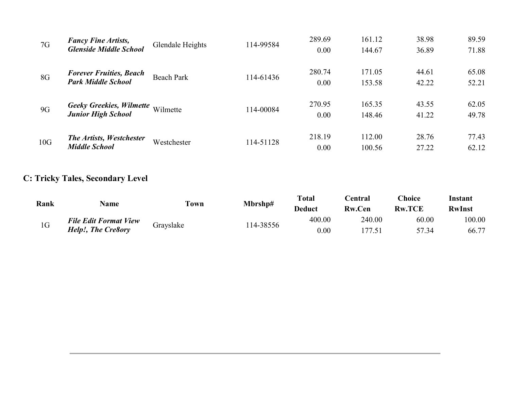| 7G  | <b>Fancy Fine Artists,</b><br><b>Glenside Middle School</b>  | Glendale Heights  | 114-99584 | 289.69<br>0.00 | 161.12<br>144.67 | 38.98<br>36.89 | 89.59<br>71.88 |
|-----|--------------------------------------------------------------|-------------------|-----------|----------------|------------------|----------------|----------------|
| 8G  | <b>Forever Fruities, Beach</b><br><b>Park Middle School</b>  | <b>Beach Park</b> | 114-61436 | 280.74<br>0.00 | 171.05<br>153.58 | 44.61<br>42.22 | 65.08<br>52.21 |
| 9G  | <b>Geeky Greekies, Wilmette</b><br><b>Junior High School</b> | Wilmette          | 114-00084 | 270.95<br>0.00 | 165.35<br>148.46 | 43.55<br>41.22 | 62.05<br>49.78 |
| 10G | <b>The Artists, Westchester</b><br><b>Middle School</b>      | Westchester       | 114-51128 | 218.19<br>0.00 | 112.00<br>100.56 | 28.76<br>27.22 | 77.43<br>62.12 |

#### C: Tricky Tales, Secondary Level

| Rank |                              | <b>Town</b> | Mbrshp#  | <b>Total</b>  | ∑entral       | <b>Choice</b> | Instant       |
|------|------------------------------|-------------|----------|---------------|---------------|---------------|---------------|
|      | <b>Name</b>                  |             |          | <b>Deduct</b> | <b>Rw.Cen</b> | <b>Rw.TCE</b> | <b>RwInst</b> |
| 1G   | <b>File Edit Format View</b> | Grayslake   | 14-38556 | 400.00        | 240.00        | 60.00         | 100.00        |
|      | Help!, The Cre8ory           |             |          | $0.00\,$      | .77.51        | 57.34         | 66.77         |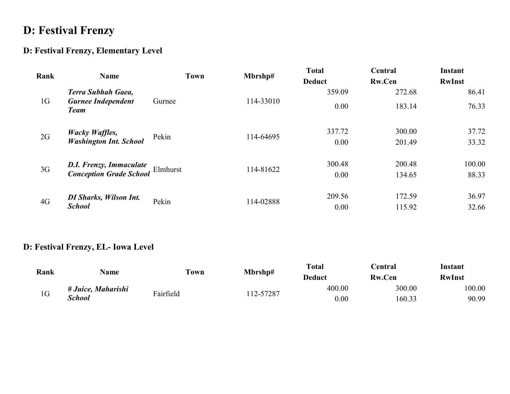### D: Festival Frenzy

#### D: Festival Frenzy, Elementary Level

| Rank           | <b>Name</b>                                                | <b>Town</b> | Mbrshp#   | <b>Total</b>  | Central       | Instant       |
|----------------|------------------------------------------------------------|-------------|-----------|---------------|---------------|---------------|
|                |                                                            |             |           | <b>Deduct</b> | <b>Rw.Cen</b> | <b>RwInst</b> |
|                | Terra Subhah Gaea,                                         |             |           | 359.09        | 272.68        | 86.41         |
| 1G             | <b>Gurnee Independent</b><br><b>Team</b>                   | Gurnee      | 114-33010 | 0.00          | 183.14        | 76.33         |
| 2G             | <b>Wacky Waffles,<br/>Washington Int. School</b>           | Pekin       | 114-64695 | 337.72        | 300.00        | 37.72         |
|                |                                                            |             |           | 0.00          | 201.49        | 33.32         |
| 3 <sub>G</sub> | <b>D.I. Frenzy, Immaculate<br/>Conception Grade School</b> | Elmhurst    | 114-81622 | 300.48        | 200.48        | 100.00        |
|                |                                                            |             |           | 0.00          | 134.65        | 88.33         |
| 4G             | <b>DI Sharks, Wilson Int.</b>                              | Pekin       | 114-02888 | 209.56        | 172.59        | 36.97         |
|                | <b>School</b>                                              |             |           | 0.00          | 115.92        | 32.66         |

#### D: Festival Frenzy, EL- Iowa Level

| Rank           | <b>Name</b>        | <b>Town</b><br>Mbrshp# |          | <b>Total</b> | <b>Central</b> | Instant       |
|----------------|--------------------|------------------------|----------|--------------|----------------|---------------|
|                |                    |                        |          | Deduct       | <b>Rw.Cen</b>  | <b>RwInst</b> |
| 1 <sub>G</sub> | # Juice, Maharishi | Fairfield              | 12-57287 | 400.00       | 300.00         | 100.00        |
|                | School             |                        |          | $0.00\,$     | 160.33         | 90.99         |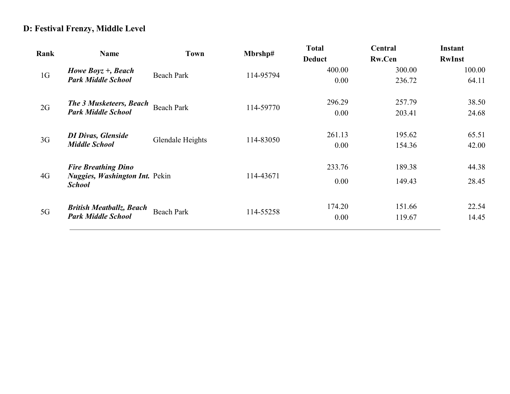#### D: Festival Frenzy, Middle Level

| Rank           | <b>Name</b>                                            | Town              | Mbrshp#   | <b>Total</b>  | Central       | Instant       |  |
|----------------|--------------------------------------------------------|-------------------|-----------|---------------|---------------|---------------|--|
|                |                                                        |                   |           | <b>Deduct</b> | <b>Rw.Cen</b> | <b>RwInst</b> |  |
|                | Howe Boyz $+$ , Beach                                  | <b>Beach Park</b> |           | 400.00        | 300.00        | 100.00        |  |
| 1 <sub>G</sub> | <b>Park Middle School</b>                              |                   | 114-95794 | 0.00          | 236.72        | 64.11         |  |
| 2G             | The 3 Musketeers, Beach                                | <b>Beach Park</b> | 114-59770 | 296.29        | 257.79        | 38.50         |  |
|                | <b>Park Middle School</b>                              |                   |           | 0.00          | 203.41        | 24.68         |  |
|                | <b>DI Divas, Glenside</b>                              | Glendale Heights  | 114-83050 | 261.13        | 195.62        | 65.51         |  |
| 3 <sub>G</sub> | <b>Middle School</b>                                   |                   |           | 0.00          | 154.36        | 42.00         |  |
|                | <b>Fire Breathing Dino</b>                             |                   |           | 233.76        | 189.38        | 44.38         |  |
| 4G             | <b>Nuggies, Washington Int. Pekin</b><br><b>School</b> |                   | 114-43671 | 0.00          | 149.43        | 28.45         |  |
|                | <b>British Meatballz, Beach</b>                        |                   |           | 174.20        | 151.66        | 22.54         |  |
| 5G             | <b>Park Middle School</b>                              | <b>Beach Park</b> | 114-55258 | 0.00          | 119.67        | 14.45         |  |
|                |                                                        |                   |           |               |               |               |  |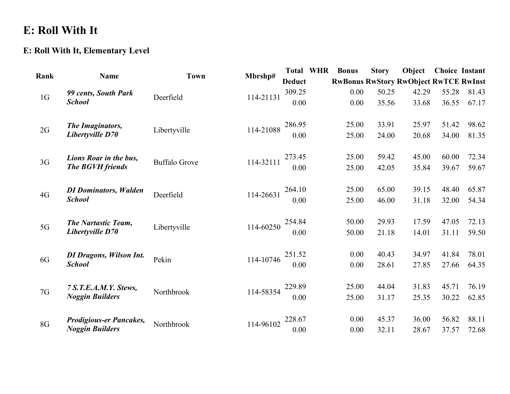### E: Roll With It

#### E: Roll With It, Elementary Level

| Rank           | <b>Name</b>                    | <b>Town</b>          | Mbrshp#   |               | <b>Total WHR</b> | <b>Bonus</b> | <b>Story</b> | Object                                       | <b>Choice Instant</b> |       |
|----------------|--------------------------------|----------------------|-----------|---------------|------------------|--------------|--------------|----------------------------------------------|-----------------------|-------|
|                |                                |                      |           | <b>Deduct</b> |                  |              |              | <b>RwBonus RwStory RwObject RwTCE RwInst</b> |                       |       |
|                | 99 cents, South Park           |                      |           | 309.25        |                  | 0.00         | 50.25        | 42.29                                        | 55.28                 | 81.43 |
| 1 <sub>G</sub> | <b>School</b>                  | Deerfield            | 114-21131 | 0.00          |                  | 0.00         | 35.56        | 33.68                                        | 36.55                 | 67.17 |
| 2G             | The Imaginators,               | Libertyville         | 114-21088 | 286.95        |                  | 25.00        | 33.91        | 25.97                                        | 51.42                 | 98.62 |
|                | Libertyville D70               |                      |           | 0.00          |                  | 25.00        | 24.00        | 20.68                                        | 34.00                 | 81.35 |
| 3G             | Lions Roar in the bus,         | <b>Buffalo Grove</b> | 114-32111 | 273.45        |                  | 25.00        | 59.42        | 45.00                                        | 60.00                 | 72.34 |
|                | The BGVH friends               |                      |           | 0.00          |                  | 25.00        | 42.05        | 35.84                                        | 39.67                 | 59.67 |
| 4G             | <b>DI Dominators, Walden</b>   | Deerfield            | 114-26631 | 264.10        |                  | 25.00        | 65.00        | 39.15                                        | 48.40                 | 65.87 |
|                | <b>School</b>                  |                      |           | 0.00          |                  | 25.00        | 46.00        | 31.18                                        | 32.00                 | 54.34 |
| 5G             | <b>The Nartastic Team,</b>     | Libertyville         | 114-60250 | 254.84        |                  | 50.00        | 29.93        | 17.59                                        | 47.05                 | 72.13 |
|                | Libertyville D70               |                      |           | 0.00          |                  | 50.00        | 21.18        | 14.01                                        | 31.11                 | 59.50 |
| 6G             | <b>DI Dragons, Wilson Int.</b> | Pekin                | 114-10746 | 251.52        |                  | 0.00         | 40.43        | 34.97                                        | 41.84                 | 78.01 |
|                | <b>School</b>                  |                      |           | 0.00          |                  | 0.00         | 28.61        | 27.85                                        | 27.66                 | 64.35 |
| 7G             | 7 S.T.E.A.M.Y. Stews,          | Northbrook           | 114-58354 | 229.89        |                  | 25.00        | 44.04        | 31.83                                        | 45.71                 | 76.19 |
|                | <b>Noggin Builders</b>         |                      |           | 0.00          |                  | 25.00        | 31.17        | 25.35                                        | 30.22                 | 62.85 |
| 8G             | <b>Prodigious-er Pancakes,</b> | Northbrook           | 114-96102 | 228.67        |                  | 0.00         | 45.37        | 36.00                                        | 56.82                 | 88.11 |
|                | <b>Noggin Builders</b>         |                      |           | 0.00          |                  | 0.00         | 32.11        | 28.67                                        | 37.57                 | 72.68 |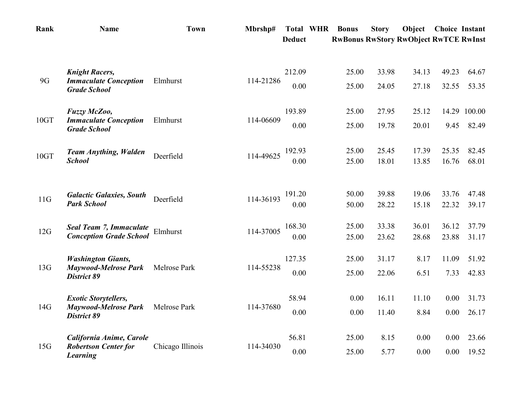| Rank | <b>Name</b>                                              | <b>Town</b>      | Mbrshp#   | <b>Total WHR</b> | <b>Bonus</b> | <b>Story</b> | Object                                       | <b>Choice Instant</b> |        |
|------|----------------------------------------------------------|------------------|-----------|------------------|--------------|--------------|----------------------------------------------|-----------------------|--------|
|      |                                                          |                  |           | <b>Deduct</b>    |              |              | <b>RwBonus RwStory RwObject RwTCE RwInst</b> |                       |        |
|      | <b>Knight Racers,</b>                                    |                  |           | 212.09           | 25.00        | 33.98        | 34.13                                        | 49.23                 | 64.67  |
| 9G   | <b>Immaculate Conception</b><br><b>Grade School</b>      | Elmhurst         | 114-21286 | 0.00             | 25.00        | 24.05        | 27.18                                        | 32.55                 | 53.35  |
|      | Fuzzy McZoo,                                             |                  |           | 193.89           | 25.00        | 27.95        | 25.12                                        | 14.29                 | 100.00 |
| 10GT | <b>Immaculate Conception</b><br><b>Grade School</b>      | Elmhurst         | 114-06609 | 0.00             | 25.00        | 19.78        | 20.01                                        | 9.45                  | 82.49  |
| 10GT | <b>Team Anything, Walden</b>                             | Deerfield        | 114-49625 | 192.93           | 25.00        | 25.45        | 17.39                                        | 25.35                 | 82.45  |
|      | <b>School</b>                                            |                  |           | 0.00             | 25.00        | 18.01        | 13.85                                        | 16.76                 | 68.01  |
|      | <b>Galactic Galaxies, South</b>                          |                  |           | 191.20           | 50.00        | 39.88        | 19.06                                        | 33.76                 | 47.48  |
| 11G  | <b>Park School</b>                                       | Deerfield        | 114-36193 | 0.00             | 50.00        | 28.22        | 15.18                                        | 22.32                 | 39.17  |
| 12G  | <b>Seal Team 7, Immaculate</b>                           | Elmhurst         | 114-37005 | 168.30           | 25.00        | 33.38        | 36.01                                        | 36.12                 | 37.79  |
|      | <b>Conception Grade School</b>                           |                  |           | 0.00             | 25.00        | 23.62        | 28.68                                        | 23.88                 | 31.17  |
| 13G  | <b>Washington Giants,</b><br><b>Maywood-Melrose Park</b> | Melrose Park     | 114-55238 | 127.35           | 25.00        | 31.17        | 8.17                                         | 11.09                 | 51.92  |
|      | <b>District 89</b>                                       |                  |           | 0.00             | 25.00        | 22.06        | 6.51                                         | 7.33                  | 42.83  |
| 14G  | <b>Exotic Storytellers,</b>                              | Melrose Park     | 114-37680 | 58.94            | 0.00         | 16.11        | 11.10                                        | 0.00                  | 31.73  |
|      | <b>Maywood-Melrose Park</b><br><b>District 89</b>        |                  |           | 0.00             | 0.00         | 11.40        | 8.84                                         | 0.00                  | 26.17  |
|      | California Anime, Carole                                 |                  |           | 56.81            | 25.00        | 8.15         | 0.00                                         | 0.00                  | 23.66  |
| 15G  | <b>Robertson Center for</b><br><b>Learning</b>           | Chicago Illinois | 114-34030 | 0.00             | 25.00        | 5.77         | 0.00                                         | 0.00                  | 19.52  |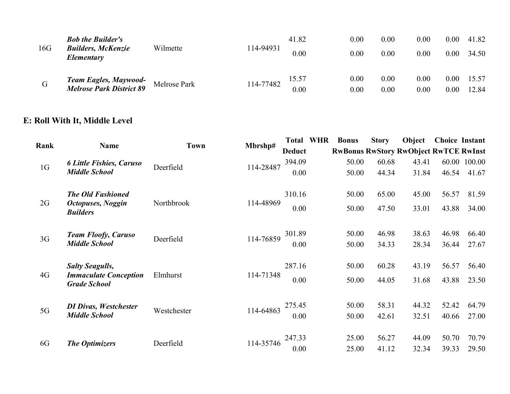| 16G | <b>Bob the Builder's</b><br><b>Builders, McKenzie</b><br>Elementary | Wilmette     | 114-94931 | 41.82<br>0.00 | 0.00<br>0.00 | 0.00<br>0.00 | 0.00<br>0.00 | 0.00<br>0.00 | 41.82<br>34.50 |
|-----|---------------------------------------------------------------------|--------------|-----------|---------------|--------------|--------------|--------------|--------------|----------------|
| G   | <b>Team Eagles, Maywood-</b><br><b>Melrose Park District 89</b>     | Melrose Park | 114-77482 | 15.57<br>0.00 | 0.00<br>0.00 | 0.00<br>0.00 | 0.00<br>0.00 | 0.00<br>0.00 | 15.57<br>12.84 |

#### E: Roll With It, Middle Level

|                |                                                     |             |           | <b>Total WHR</b> | <b>Bonus</b> | <b>Story</b> | Object                                       | <b>Choice Instant</b> |        |
|----------------|-----------------------------------------------------|-------------|-----------|------------------|--------------|--------------|----------------------------------------------|-----------------------|--------|
| Rank           | Name                                                | <b>Town</b> | Mbrshp#   | <b>Deduct</b>    |              |              | <b>RwBonus RwStory RwObject RwTCE RwInst</b> |                       |        |
|                | <b>6 Little Fishies, Caruso</b>                     |             |           | 394.09           | 50.00        | 60.68        | 43.41                                        | 60.00                 | 100.00 |
| 1 <sub>G</sub> | <b>Middle School</b>                                | Deerfield   | 114-28487 | 0.00             | 50.00        | 44.34        | 31.84                                        | 46.54                 | 41.67  |
|                | <b>The Old Fashioned</b>                            |             |           | 310.16           | 50.00        | 65.00        | 45.00                                        | 56.57                 | 81.59  |
| 2G             | <b>Octopuses, Noggin</b><br><b>Builders</b>         | Northbrook  | 114-48969 | 0.00             | 50.00        | 47.50        | 33.01                                        | 43.88                 | 34.00  |
|                | <b>Team Floofy, Caruso</b>                          |             | 114-76859 | 301.89           | 50.00        | 46.98        | 38.63                                        | 46.98                 | 66.40  |
| 3G             | <b>Middle School</b>                                | Deerfield   |           | 0.00             | 50.00        | 34.33        | 28.34                                        | 36.44                 | 27.67  |
|                | <b>Salty Seagulls,</b>                              |             |           | 287.16           | 50.00        | 60.28        | 43.19                                        | 56.57                 | 56.40  |
| 4G             | <b>Immaculate Conception</b><br><b>Grade School</b> | Elmhurst    | 114-71348 | 0.00             | 50.00        | 44.05        | 31.68                                        | 43.88                 | 23.50  |
|                | <b>DI Divas, Westchester</b>                        |             |           | 275.45           | 50.00        | 58.31        | 44.32                                        | 52.42                 | 64.79  |
| 5G             | <b>Middle School</b>                                | Westchester | 114-64863 | 0.00             | 50.00        | 42.61        | 32.51                                        | 40.66                 | 27.00  |
|                |                                                     |             |           | 247.33           | 25.00        | 56.27        | 44.09                                        | 50.70                 | 70.79  |
| 6G             | <b>The Optimizers</b>                               | Deerfield   | 114-35746 | 0.00             | 25.00        | 41.12        | 32.34                                        | 39.33                 | 29.50  |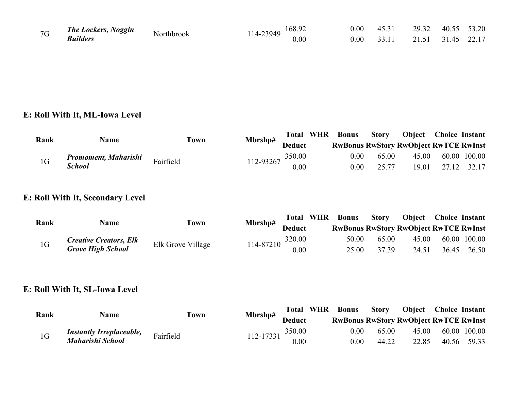| 7G | <b>The Lockers, Noggin</b> | Northbrook | 168.92<br>$14 - 23949$ |      | 0.00 | 45.31 | 29.32 | 40.55 | 53.20 |
|----|----------------------------|------------|------------------------|------|------|-------|-------|-------|-------|
|    | <b>Builders</b>            |            | l 4-                   | 0.00 | 0.00 | 33.11 | 21.51 | 3145  | 22.17 |

#### E: Roll With It, ML-Iowa Level

| Rank | <b>Name</b>          | <b>Town</b> | Mbrshp#              |               | <b>Total WHR</b> | <b>Bonus</b> | <b>Story</b> | <b>Object</b> Choice Instant                 |              |
|------|----------------------|-------------|----------------------|---------------|------------------|--------------|--------------|----------------------------------------------|--------------|
|      |                      |             |                      | <b>Deduct</b> |                  |              |              | <b>RwBonus RwStory RwObject RwTCE RwInst</b> |              |
| 1G   | Promoment, Maharishi | Fairfield   | $112-93267$ $350.00$ |               |                  | $0.00\,$     | 65.00        | 45.00                                        | 60.00 100.00 |
|      | <b>School</b>        |             |                      | 0.00          |                  | 0.00         | 25.77        | 19.01                                        | 27.12 32.17  |

#### E: Roll With It, Secondary Level

| Rank           | <b>Name</b>                   | Mbrshp#<br>Town   |           |               | <b>Total WHR</b> | <b>Bonus</b> | Story |                                              | <b>Object Choice Instant</b> |              |
|----------------|-------------------------------|-------------------|-----------|---------------|------------------|--------------|-------|----------------------------------------------|------------------------------|--------------|
|                |                               |                   |           | <b>Deduct</b> |                  |              |       | <b>RwBonus RwStory RwObject RwTCE RwInst</b> |                              |              |
| 1 <sub>G</sub> | <b>Creative Creators, Elk</b> | Elk Grove Village | 114-87210 | 320.00        |                  | 50.00        | 65.00 | 45.00                                        |                              | 60.00 100.00 |
|                | <b>Grove High School</b>      |                   |           | 0.00          |                  | 25.00        | 37.39 | 24.51                                        |                              | 36.45 26.50  |

#### E: Roll With It, SL-Iowa Level

| Rank           | <b>Name</b>                     | Mbrshp#<br><b>Town</b> | <b>Total WHR</b> | <b>Bonus</b>  | <b>Story</b> | <b>Object</b> Choice Instant |                                              |              |
|----------------|---------------------------------|------------------------|------------------|---------------|--------------|------------------------------|----------------------------------------------|--------------|
|                |                                 |                        |                  | <b>Deduct</b> |              |                              | <b>RwBonus RwStory RwObject RwTCE RwInst</b> |              |
| 1 <sub>G</sub> | <b>Instantly Irreplaceable,</b> | Fairfield              | 112-17331        | 350.00        | 0.00         | 65.00                        | 45.00                                        | 60.00 100.00 |
|                | Maharishi School                |                        |                  | 0.00          | 0.00         | 44.22                        | 22.85                                        | 40.56 59.33  |